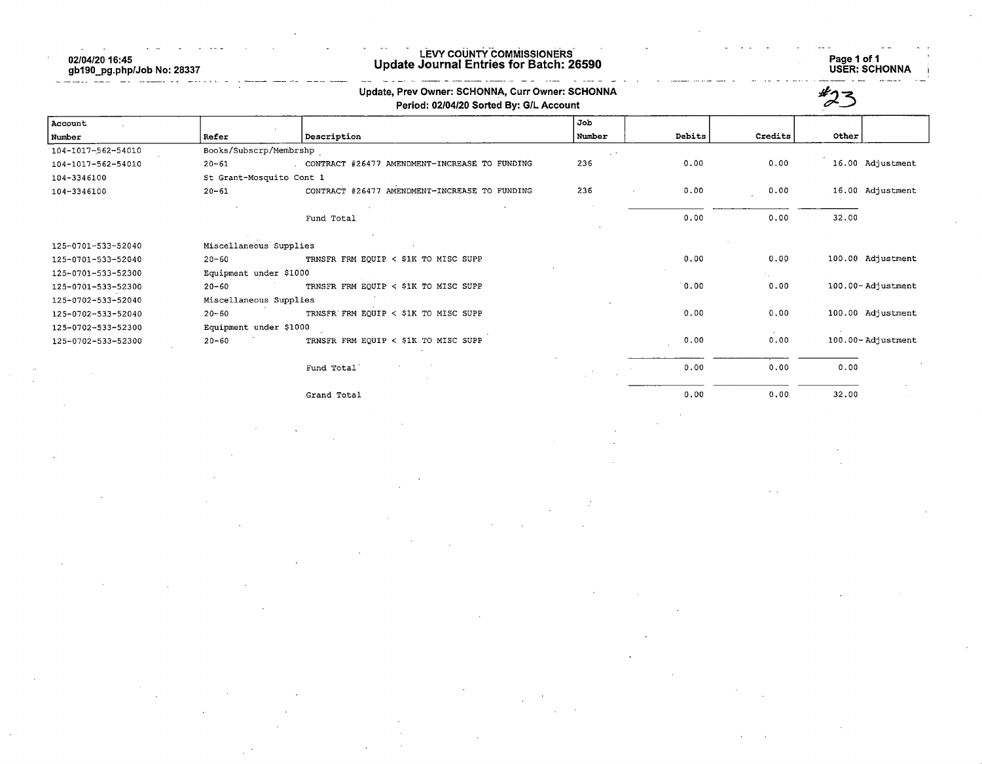02/04/20 16:45 gb190\_pg.php/Job No: 28337

## LEVY COUNTY COMMISSIONERS Update Journal Entries for Batch: 26590 Page 1 of 1

Page 1 of 1<br>USER: SCHONNA

|                    |                          | Update, Prev Owner: SCHONNA, Curr Owner: SCHONNA<br>Period: 02/04/20 Sorted By: G/L Account |        |        |         |                   |
|--------------------|--------------------------|---------------------------------------------------------------------------------------------|--------|--------|---------|-------------------|
| Account            |                          |                                                                                             | Job    |        |         |                   |
| Number             | Refer                    | Description                                                                                 | Number | Debits | Credits | Other             |
| 104-1017-562-54010 | Books/Subscrp/Membrshp   |                                                                                             |        |        |         |                   |
| 104-1017-562-54010 | $20 - 61$                | . CONTRACT #26477 AMENDMENT-INCREASE TO FUNDING                                             | 236    | 0.00   | 0.00    | 16.00 Adjustment  |
| 104-3346100        | St Grant-Mosquito Cont 1 |                                                                                             |        |        |         |                   |
| 104-3346100        | $20 - 61$                | CONTRACT #26477 AMENDMENT-INCREASE TO FUNDING                                               | 236    | 0.00   | 0.00    | 16.00 Adjustment  |
|                    |                          | Fund Total                                                                                  |        | 0.00   | 0.00    | 32.00             |
| 125-0701-533-52040 | Miscellaneous Supplies   |                                                                                             |        |        |         |                   |
| 125-0701-533-52040 | $20 - 60$                | TRNSFR FRM EQUIP < \$1K TO MISC SUPP                                                        |        | 0.00   | 0.00    | 100.00 Adjustment |
| 125-0701-533-52300 | Equipment under \$1000   |                                                                                             |        |        |         |                   |
| 125-0701-533-52300 | $20 - 60$                | TRNSFR FRM EQUIP < \$1K TO MISC SUPP                                                        |        | 0.00   | 0.00    | 100.00-Adjustment |
| 125-0702-533-52040 | Miscellaneous Supplies   |                                                                                             |        |        |         |                   |
| 125-0702-533-52040 | $20 - 60$                | TRNSFR FRM EQUIP < \$1K TO MISC SUPP                                                        |        | 0.00   | 0.00    | 100.00 Adjustment |
| 125-0702-533-52300 | Equipment under \$1000   |                                                                                             |        |        |         |                   |
| 125-0702-533-52300 | $20 - 60$                | TRNSFR FRM EQUIP < \$1K TO MISC SUPP                                                        |        | 0.00   | 0.00    | 100.00-Adjustment |
|                    |                          | Fund Total                                                                                  |        | 0.00   | 0.00    | 0.00              |
|                    |                          |                                                                                             |        |        |         |                   |

Grand Total 0.00 0.00 32.00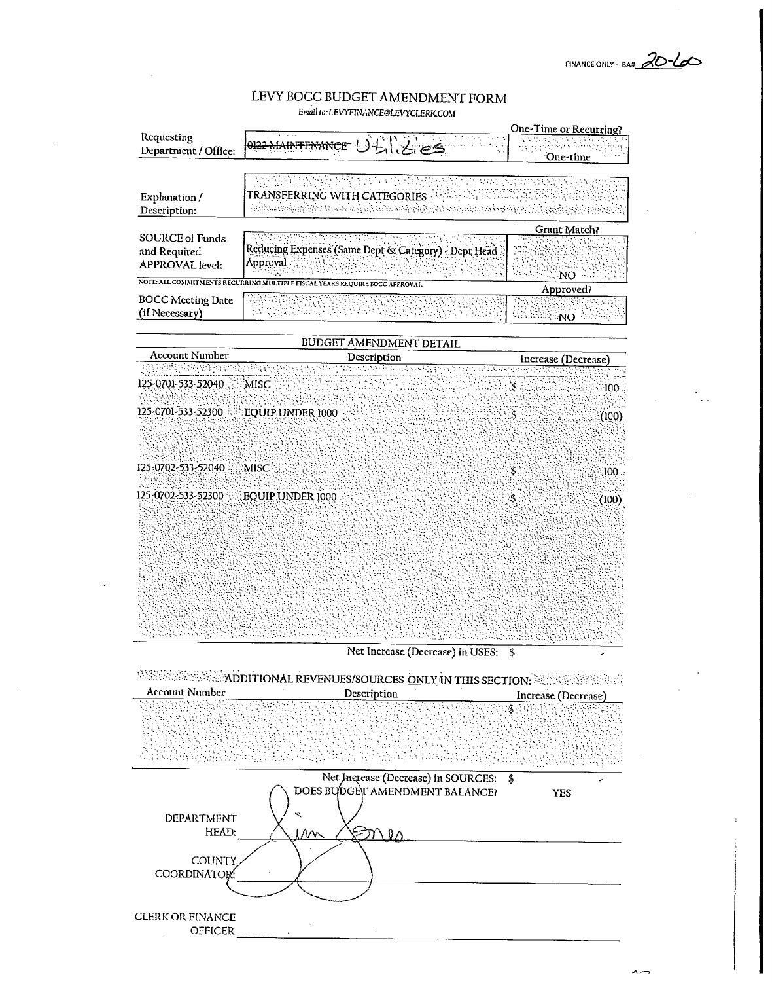FINANCE ONLY - BAH 20-100

#### LEVY BOCC BUDGET AMENDMENT FORM Email to: LEVYFINANCE@LEVYCLERK.COM



×.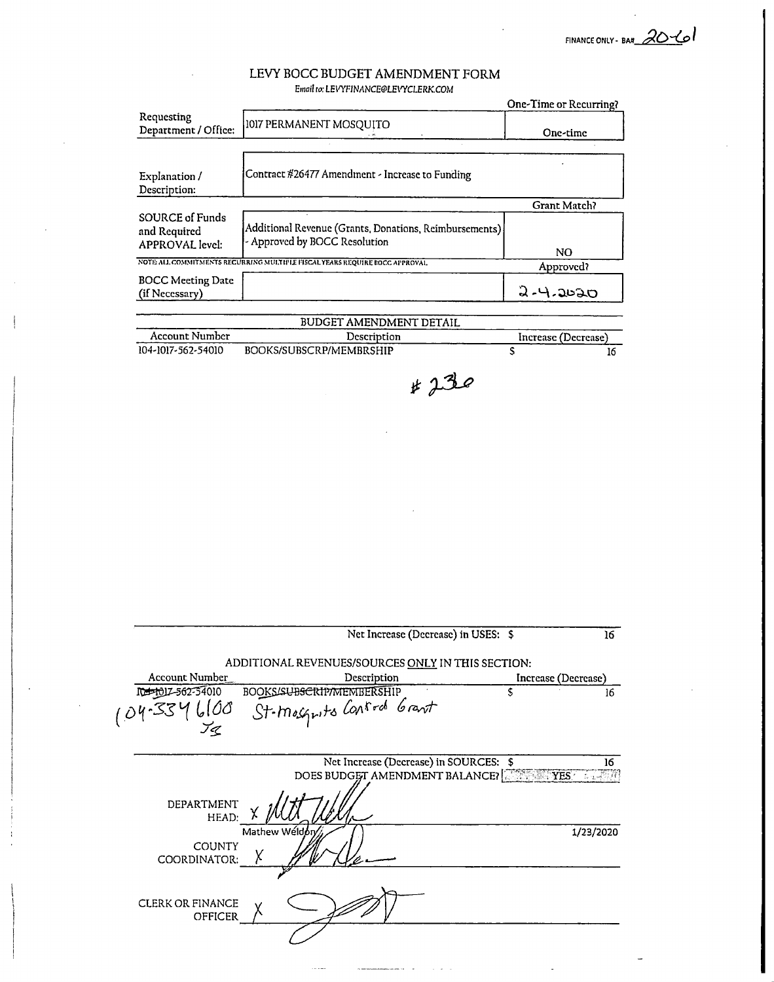FINANCE ONLY - BA#  $20 - 10$ 

# LEVY BOCC BUDGET AMENDMENT FORM

| Requesting                                                       |                                                                                          | One-Time or Recurring? |
|------------------------------------------------------------------|------------------------------------------------------------------------------------------|------------------------|
| Department / Office:                                             | 1017 PERMANENT MOSQUITO                                                                  | One-time               |
|                                                                  |                                                                                          |                        |
| Explanation /<br>Description:                                    | Contract #26477 Amendment - Increase to Funding                                          |                        |
|                                                                  |                                                                                          | Grant Match?           |
| <b>SOURCE of Funds</b><br>and Required<br><b>APPROVAL</b> level: | Additional Revenue (Grants, Donations, Reimbursements)<br>- Approved by BOCC Resolution  |                        |
|                                                                  | NOTE ALL COMMITMENTS RECURRING MULTIPLE FISCAL YEARS REQUIRE BOCC APPROVAL               | NO.                    |
| <b>BOCC Meeting Date</b>                                         |                                                                                          | Approved?              |
| (if Necessary)                                                   |                                                                                          | 9-4-2020               |
|                                                                  | BUDGET AMENDMENT DETAIL                                                                  |                        |
| Account Number                                                   | Description                                                                              | Increase (Decrease)    |
| 104-1017-562-54010                                               | BOOKS/SUBSCRP/MEMBRSHIP                                                                  | $\mathsf{s}$           |
|                                                                  |                                                                                          |                        |
|                                                                  |                                                                                          |                        |
|                                                                  | Net Increase (Decrease) in USES: \$<br>ADDITIONAL REVENUES/SOURCES ONLY IN THIS SECTION: |                        |
| <b>Account Number</b>                                            | Description                                                                              | Increase (Decrease)    |
| metholz-562-54010                                                | <b>BOOKS/SUBSCRIP/MEMBERSHIP</b><br>St-mosquits Control Grant                            | \$                     |
|                                                                  | Net Increase (Decrease) in SOURCES: \$                                                   |                        |
|                                                                  | DOES BUDGET AMENDMENT BALANCE? THE TEST TANK                                             |                        |
| DEPARTMENT<br>HEAD:                                              |                                                                                          |                        |

CLERK OR FINANCE OFFICER

COORDINATOR: A

D)

 $\sim$ i<br>San Sa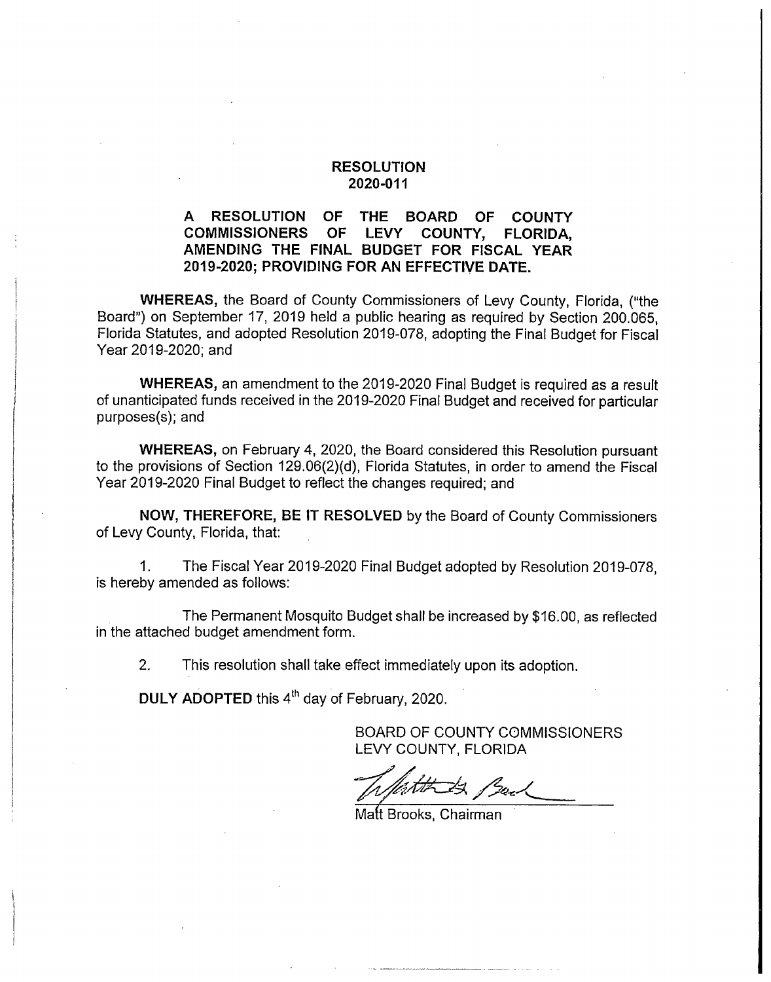#### RESOLUTION 2020-011

### A RESOLUTION OF THE BOARD OF COUNTY<br>COMMISSIONERS OF LEVY COUNTY, FLORIDA. COMMISSIONERS OF LEVY COUNTY, FLORIDA, AMENDING THE FINAL BUDGET FOR FISCAL YEAR 2019-2020; PROVIDING FOR AN EFFECTIVE DATE.

WHEREAS, the Board of County Commissioners of Levy County, Florida, ("the Board") on September 17, 2019 held a public hearing as required by Section 200.065, Florida Statutes, and adopted Resolution 2019-078, adopting the Final Budget for Fiscal Year 2019-2020; and

WHEREAS, an amendment to the 2019-2020 Final Budget is required as a result of unanticipated funds received in the 2019-2020 Final Budget and received for particular purposes(s); and

WHEREAS, on February 4, 2020, the Board considered this Resolution pursuant to the provisions of Section 129.06(2)(d), Florida Statutes, in order to amend the Fiscal Year 2019-2020 Final Budget to reflect the changes required; and

NOW, THEREFORE, BE IT RESOLVED by the Board of County Commissioners of Levy County, Florida, that:

1. The Fiscal Year 2019-2020 Final Budget adopted by Resolution 2019-078, is hereby amended as follows:

The Permanent Mosquito Budget shall be increased by \$16.00, as reflected in the attached budget amendment form.

2. This resolution shall take effect immediately upon its adoption.

DULY ADOPTED this 4<sup>th</sup> day of February, 2020.

BOARD OF COUNTY COMMISSIONERS LEVY COUNTY, FLORIDA

Matt Brooks, Chairman